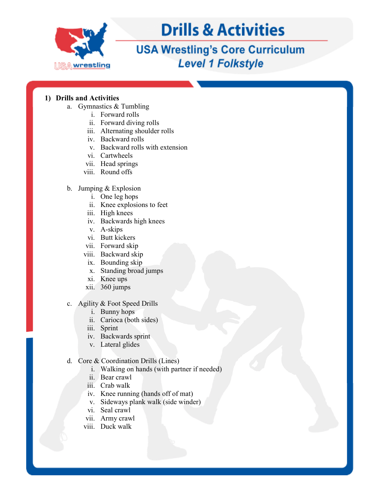

### **USA Wrestling's Core Curriculum Level 1 Folkstyle**

#### **1) Drills and Activities**

- a. Gymnastics & Tumbling
	- i. Forward rolls
	- ii. Forward diving rolls
	- iii. Alternating shoulder rolls
	- iv. Backward rolls
	- v. Backward rolls with extension
	- vi. Cartwheels
	- vii. Head springs
	- viii. Round offs
- b. Jumping & Explosion
	- i. One leg hops
	- ii. Knee explosions to feet
	- iii. High knees
	- iv. Backwards high knees
	- v. A-skips
	- vi. Butt kickers
	- vii. Forward skip
	- viii. Backward skip
	- ix. Bounding skip
	- x. Standing broad jumps
	- xi. Knee ups
	- xii. 360 jumps
- c. Agility & Foot Speed Drills
	- i. Bunny hops
	- ii. Carioca (both sides)
	- iii. Sprint
	- iv. Backwards sprint
	- v. Lateral glides
- d. Core & Coordination Drills (Lines)
	- i. Walking on hands (with partner if needed)
	- ii. Bear crawl
	- iii. Crab walk
	- iv. Knee running (hands off of mat)
	- v. Sideways plank walk (side winder)
	- vi. Seal crawl
	- vii. Army crawl
	- viii. Duck walk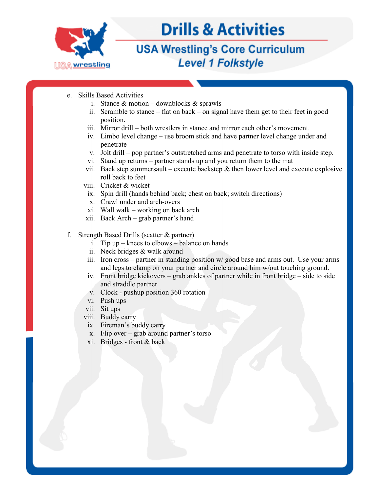

### **USA Wrestling's Core Curriculum Level 1 Folkstyle**

- e. Skills Based Activities
	- i. Stance  $&$  motion downblocks  $&$  sprawls
	- ii. Scramble to stance flat on back on signal have them get to their feet in good position.
	- iii. Mirror drill both wrestlers in stance and mirror each other's movement.
	- iv. Limbo level change use broom stick and have partner level change under and penetrate
	- v. Jolt drill pop partner's outstretched arms and penetrate to torso with inside step.
	- vi. Stand up returns partner stands up and you return them to the mat
	- vii. Back step summersault execute backstep  $\&$  then lower level and execute explosive roll back to feet
	- viii. Cricket & wicket
		- ix. Spin drill (hands behind back; chest on back; switch directions)
		- x. Crawl under and arch-overs
	- xi. Wall walk working on back arch
	- xii. Back Arch grab partner's hand
- f. Strength Based Drills (scatter & partner)
	- i. Tip up knees to elbows balance on hands
	- ii. Neck bridges & walk around
	- iii. Iron cross partner in standing position w/ good base and arms out. Use your arms and legs to clamp on your partner and circle around him w/out touching ground.
	- iv. Front bridge kickovers grab ankles of partner while in front bridge side to side and straddle partner
	- v. Clock pushup position 360 rotation
	- vi. Push ups
	- vii. Sit ups
	- viii. Buddy carry
		- ix. Fireman's buddy carry
		- x. Flip over grab around partner's torso
	- xi. Bridges front & back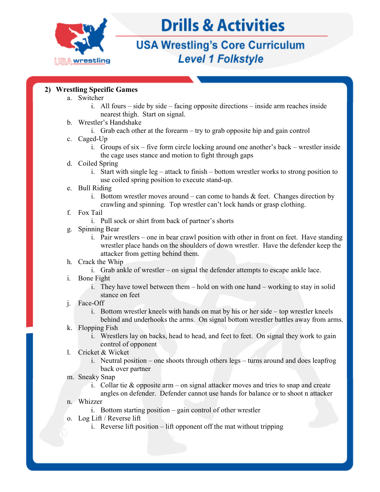

## **USA Wrestling's Core Curriculum Level 1 Folkstyle**

#### **2) Wrestling Specific Games**

- a. Switcher
	- i. All fours side by side facing opposite directions inside arm reaches inside nearest thigh. Start on signal.
- b. Wrestler's Handshake
	- i. Grab each other at the forearm try to grab opposite hip and gain control
- c. Caged-Up
	- i. Groups of six five form circle locking around one another's back wrestler inside the cage uses stance and motion to fight through gaps
- d. Coiled Spring
	- i. Start with single leg attack to finish bottom wrestler works to strong position to use coiled spring position to execute stand-up.
- e. Bull Riding
	- i. Bottom wrestler moves around can come to hands  $\&$  feet. Changes direction by crawling and spinning. Top wrestler can't lock hands or grasp clothing.
- f. Fox Tail
	- i. Pull sock or shirt from back of partner's shorts
- g. Spinning Bear
	- i. Pair wrestlers one in bear crawl position with other in front on feet. Have standing wrestler place hands on the shoulders of down wrestler. Have the defender keep the attacker from getting behind them.
- h. Crack the Whip
	- i. Grab ankle of wrestler on signal the defender attempts to escape ankle lace.
- i. Bone Fight
	- i. They have towel between them hold on with one hand working to stay in solid stance on feet
- j. Face-Off
	- i. Bottom wrestler kneels with hands on mat by his or her side top wrestler kneels
- behind and underhooks the arms. On signal bottom wrestler battles away from arms. k. Flopping Fish
	- i. Wrestlers lay on backs, head to head, and feet to feet. On signal they work to gain control of opponent
- l. Cricket & Wicket
	- i. Neutral position one shoots through others legs turns around and does leapfrog back over partner
- m. Sneaky Snap
	- i. Collar tie & opposite arm on signal attacker moves and tries to snap and create angles on defender. Defender cannot use hands for balance or to shoot n attacker
- n. Whizzer
	- i. Bottom starting position gain control of other wrestler
- o. Log Lift / Reverse lift
	- i. Reverse lift position lift opponent off the mat without tripping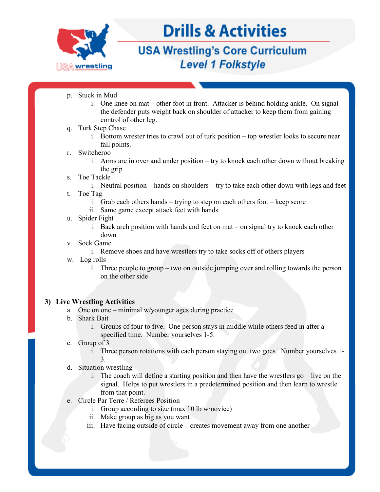

### **USA Wrestling's Core Curriculum Level 1 Folkstyle**

- p. Stuck in Mud
	- i. One knee on mat other foot in front. Attacker is behind holding ankle. On signal the defender puts weight back on shoulder of attacker to keep them from gaining control of other leg.
- q. Turk Step Chase
	- i. Bottom wrester tries to crawl out of turk position top wrestler looks to secure near fall points.
- r. Switcheroo
	- i. Arms are in over and under position try to knock each other down without breaking the grip
- s. Toe Tackle
	- i. Neutral position hands on shoulders try to take each other down with legs and feet
- t. Toe Tag
	- i. Grab each others hands trying to step on each others foot keep score
	- ii. Same game except attack feet with hands
- u. Spider Fight
	- i. Back arch position with hands and feet on mat on signal try to knock each other down
- v. Sock Game
	- i. Remove shoes and have wrestlers try to take socks off of others players
- w. Log rolls
	- i. Three people to group two on outside jumping over and rolling towards the person on the other side

#### **3) Live Wrestling Activities**

- a. One on one minimal w/younger ages during practice
- b. Shark Bait
	- i. Groups of four to five. One person stays in middle while others feed in after a specified time. Number yourselves 1-5.
- c. Group of 3
	- i. Three person rotations with each person staying out two goes. Number yourselves 1- 3.
- d. Situation wrestling
	- i. The coach will define a starting position and then have the wrestlers go live on the signal. Helps to put wrestlers in a predetermined position and then learn to wrestle from that point.
- e. Circle Par Terre / Referees Position
	- i. Group according to size (max 10 lb w/novice)
	- ii. Make group as big as you want
	- iii. Have facing outside of circle creates movement away from one another